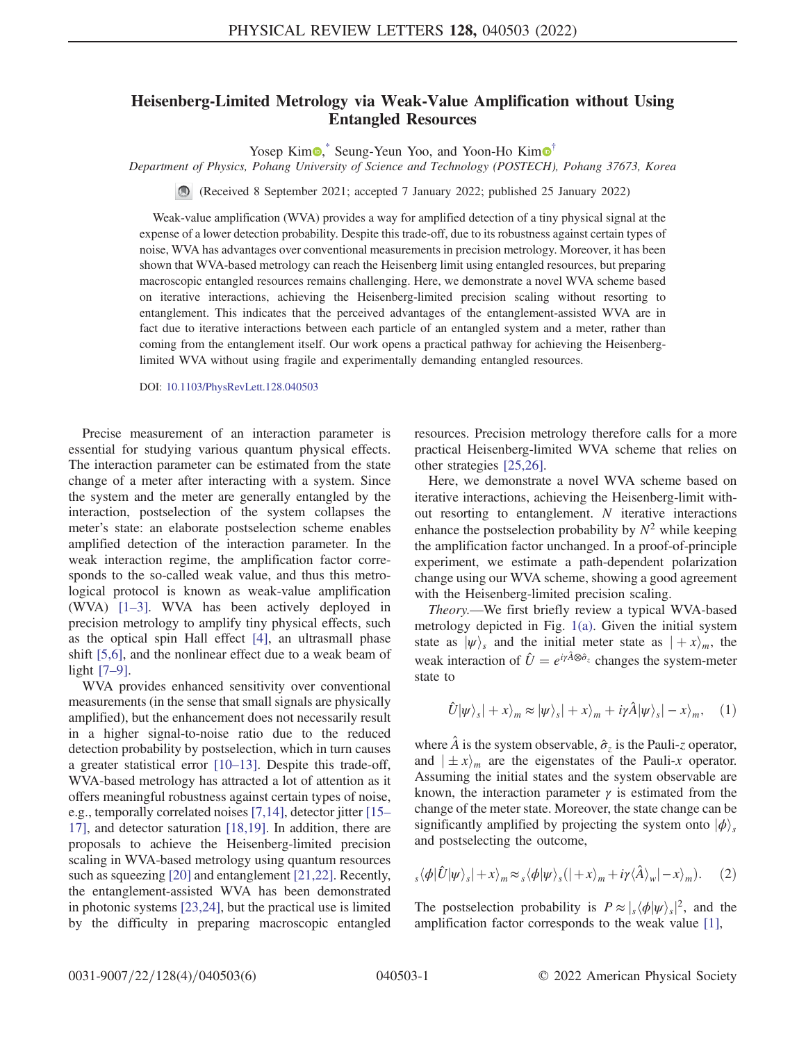## Heisenberg-Limited Metrology via Weak-Value Amplification without Using Entangled Resources

Yosep Kim $\odot$ <sup>[\\*](#page-4-0)</sup> Seung-Yeun Yoo, and Yoon-Ho Kim $\odot$ <sup>[†](#page-4-1)</sup>

<span id="page-0-2"></span>Department of Physics, Pohang University of Science and Technology (POSTECH), Pohang 37673, Korea

(Received 8 September 2021; accepted 7 January 2022; published 25 January 2022)

Weak-value amplification (WVA) provides a way for amplified detection of a tiny physical signal at the expense of a lower detection probability. Despite this trade-off, due to its robustness against certain types of noise, WVA has advantages over conventional measurements in precision metrology. Moreover, it has been shown that WVA-based metrology can reach the Heisenberg limit using entangled resources, but preparing macroscopic entangled resources remains challenging. Here, we demonstrate a novel WVA scheme based on iterative interactions, achieving the Heisenberg-limited precision scaling without resorting to entanglement. This indicates that the perceived advantages of the entanglement-assisted WVA are in fact due to iterative interactions between each particle of an entangled system and a meter, rather than coming from the entanglement itself. Our work opens a practical pathway for achieving the Heisenberglimited WVA without using fragile and experimentally demanding entangled resources.

DOI: [10.1103/PhysRevLett.128.040503](https://doi.org/10.1103/PhysRevLett.128.040503)

Precise measurement of an interaction parameter is essential for studying various quantum physical effects. The interaction parameter can be estimated from the state change of a meter after interacting with a system. Since the system and the meter are generally entangled by the interaction, postselection of the system collapses the meter's state: an elaborate postselection scheme enables amplified detection of the interaction parameter. In the weak interaction regime, the amplification factor corresponds to the so-called weak value, and thus this metrological protocol is known as weak-value amplification (WVA) [\[1](#page-4-2)–[3](#page-4-3)]. WVA has been actively deployed in precision metrology to amplify tiny physical effects, such as the optical spin Hall effect [\[4](#page-4-4)], an ultrasmall phase shift [[5](#page-4-5),[6\]](#page-4-6), and the nonlinear effect due to a weak beam of light [\[7](#page-4-7)–[9\]](#page-4-8).

WVA provides enhanced sensitivity over conventional measurements (in the sense that small signals are physically amplified), but the enhancement does not necessarily result in a higher signal-to-noise ratio due to the reduced detection probability by postselection, which in turn causes a greater statistical error [[10](#page-4-9)–[13](#page-4-10)]. Despite this trade-off, WVA-based metrology has attracted a lot of attention as it offers meaningful robustness against certain types of noise, e.g., temporally correlated noises [\[7](#page-4-7)[,14\]](#page-4-11), detector jitter [\[15](#page-4-12)– [17\]](#page-4-13), and detector saturation [\[18](#page-4-14)[,19\]](#page-4-15). In addition, there are proposals to achieve the Heisenberg-limited precision scaling in WVA-based metrology using quantum resources such as squeezing [\[20\]](#page-4-16) and entanglement [\[21](#page-4-17)[,22\]](#page-4-18). Recently, the entanglement-assisted WVA has been demonstrated in photonic systems [[23](#page-4-19),[24](#page-4-20)], but the practical use is limited by the difficulty in preparing macroscopic entangled resources. Precision metrology therefore calls for a more practical Heisenberg-limited WVA scheme that relies on other strategies [[25](#page-4-21)[,26](#page-4-22)].

Here, we demonstrate a novel WVA scheme based on iterative interactions, achieving the Heisenberg-limit without resorting to entanglement. N iterative interactions enhance the postselection probability by  $N^2$  while keeping the amplification factor unchanged. In a proof-of-principle experiment, we estimate a path-dependent polarization change using our WVA scheme, showing a good agreement with the Heisenberg-limited precision scaling.

Theory.—We first briefly review a typical WVA-based metrology depicted in Fig. [1\(a\)](#page-1-0). Given the initial system state as  $|\psi\rangle_s$  and the initial meter state as  $|+x\rangle_m$ , the weak interaction of  $\hat{U} = e^{i\gamma \hat{A} \otimes \hat{\sigma}_z}$  changes the system-meter state to

$$
\hat{U}|\psi\rangle_{s}|+x\rangle_{m}\approx|\psi\rangle_{s}|+x\rangle_{m}+i\gamma\hat{A}|\psi\rangle_{s}|-x\rangle_{m}, \quad (1)
$$

where  $\hat{A}$  is the system observable,  $\hat{\sigma}_z$  is the Pauli-z operator, and  $|\pm x\rangle_m$  are the eigenstates of the Pauli-x operator. Assuming the initial states and the system observable are known, the interaction parameter  $\gamma$  is estimated from the change of the meter state. Moreover, the state change can be significantly amplified by projecting the system onto  $|\phi\rangle_s$ and postselecting the outcome,

<span id="page-0-0"></span>
$$
s \langle \phi | \hat{U} | \psi \rangle_{s} | + x \rangle_{m} \approx s \langle \phi | \psi \rangle_{s} (| + x \rangle_{m} + i \gamma \langle \hat{A} \rangle_{w} | - x \rangle_{m}). \tag{2}
$$

<span id="page-0-1"></span>The postselection probability is  $P \approx \frac{1}{s} \langle \phi | \psi \rangle_s|^2$ , and the amplification factor corresponds to the weak value [\[1](#page-4-2)],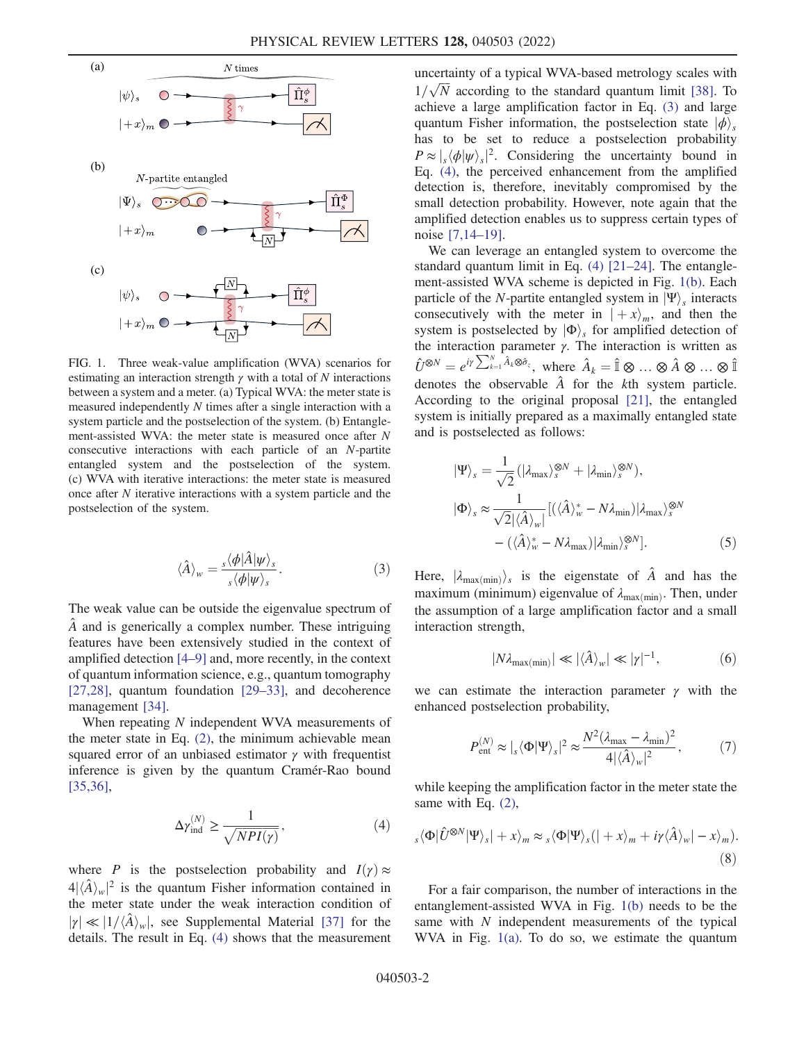<span id="page-1-0"></span>

FIG. 1. Three weak-value amplification (WVA) scenarios for estimating an interaction strength  $\gamma$  with a total of N interactions between a system and a meter. (a) Typical WVA: the meter state is measured independently N times after a single interaction with a system particle and the postselection of the system. (b) Entanglement-assisted WVA: the meter state is measured once after N consecutive interactions with each particle of an N-partite entangled system and the postselection of the system. (c) WVA with iterative interactions: the meter state is measured once after N iterative interactions with a system particle and the postselection of the system.

$$
\langle \hat{A} \rangle_{w} = \frac{s \langle \phi | \hat{A} | \psi \rangle_{s}}{s \langle \phi | \psi \rangle_{s}}.
$$
 (3)

The weak value can be outside the eigenvalue spectrum of Aˆ and is generically a complex number. These intriguing features have been extensively studied in the context of amplified detection [[4](#page-4-4)–[9\]](#page-4-8) and, more recently, in the context of quantum information science, e.g., quantum tomography [\[27](#page-4-23)[,28\]](#page-4-24), quantum foundation [[29](#page-4-25)–[33\]](#page-5-0), and decoherence management [\[34\]](#page-5-1).

<span id="page-1-1"></span>When repeating N independent WVA measurements of the meter state in Eq. [\(2\)](#page-0-0), the minimum achievable mean squared error of an unbiased estimator  $\gamma$  with frequentist inference is given by the quantum Cramér-Rao bound [\[35](#page-5-2)[,36\]](#page-5-3),

$$
\Delta \gamma_{\text{ind}}^{(N)} \ge \frac{1}{\sqrt{NPI(\gamma)}},\tag{4}
$$

where P is the postselection probability and  $I(\gamma) \approx$  $4|\langle \hat{A} \rangle_w|^2$  is the quantum Fisher information contained in the meter state under the weak interaction condition of  $|\gamma| \ll |1/\langle \hat{A} \rangle_{w}$ , see Supplemental Material [\[37\]](#page-5-4) for the details. The result in Eq. [\(4\)](#page-1-1) shows that the measurement uncertainty of a typical WVA-based metrology scales with  $1/\sqrt{N}$  according to the standard quantum limit [\[38\]](#page-5-5). To achieve a large amplification factor in Eq. [\(3\)](#page-0-1) and large quantum Fisher information, the postselection state  $|\phi\rangle$ . has to be set to reduce a postselection probability  $P \approx \frac{1}{s} \langle \phi | \psi \rangle_s$ <sup>2</sup>. Considering the uncertainty bound in Eq. [\(4\)](#page-1-1), the perceived enhancement from the amplified detection is, therefore, inevitably compromised by the small detection probability. However, note again that the amplified detection enables us to suppress certain types of noise [\[7](#page-4-7),[14](#page-4-11)–[19](#page-4-15)].

We can leverage an entangled system to overcome the standard quantum limit in Eq. [\(4\)](#page-1-1) [[21](#page-4-17)–[24\]](#page-4-20). The entanglement-assisted WVA scheme is depicted in Fig. [1\(b\)](#page-1-0). Each particle of the N-partite entangled system in  $|\Psi\rangle_s$  interacts consecutively with the meter in  $|+x\rangle_m$ , and then the system is postselected by  $|\Phi\rangle$ <sub>s</sub> for amplified detection of the interaction parameter  $γ$ . The interaction is written as  $\hat{U}^{\otimes N} = e^{i\gamma \sum_{k=1}^{N} \hat{A}_k \otimes \hat{\sigma}_z}$ , where  $\hat{A}_k = \hat{\mathbb{I}} \otimes ... \otimes \hat{A} \otimes ... \otimes \hat{\mathbb{I}}$ denotes the observable  $\hat{A}$  for the kth system particle. According to the original proposal [\[21\]](#page-4-17), the entangled system is initially prepared as a maximally entangled state and is postselected as follows:

<span id="page-1-3"></span>
$$
\begin{split} \left| \Psi \right\rangle_{s} &= \frac{1}{\sqrt{2}} \left( | \lambda_{\max} \rangle_{s}^{\otimes N} + | \lambda_{\min} \rangle_{s}^{\otimes N} \right), \\ \left| \Phi \right\rangle_{s} &\approx \frac{1}{\sqrt{2} | \langle \hat{A} \rangle_{w} |} \left[ \left( \langle \hat{A} \rangle_{w}^{*} - N \lambda_{\min} \right) | \lambda_{\max} \rangle_{s}^{\otimes N} - \left( \langle \hat{A} \rangle_{w}^{*} - N \lambda_{\max} \right) | \lambda_{\min} \rangle_{s}^{\otimes N} \right]. \end{split} \tag{5}
$$

<span id="page-1-4"></span>Here,  $|\lambda_{\text{max}(min)}\rangle_s$  is the eigenstate of  $\hat{A}$  and has the maximum (minimum) eigenvalue of  $\lambda_{\text{max(min)}}$ . Then, under the assumption of a large amplification factor and a small interaction strength,

$$
|N\lambda_{\max(\min)}| \ll |\langle \hat{A} \rangle_w| \ll |\gamma|^{-1}, \tag{6}
$$

<span id="page-1-5"></span>we can estimate the interaction parameter  $\gamma$  with the enhanced postselection probability,

$$
P_{\text{ent}}^{(N)} \approx |_{s} \langle \Phi | \Psi \rangle_{s} |^{2} \approx \frac{N^{2} (\lambda_{\text{max}} - \lambda_{\text{min}})^{2}}{4 | \langle \hat{A} \rangle_{w} |^{2}}, \tag{7}
$$

<span id="page-1-2"></span>while keeping the amplification factor in the meter state the same with Eq. [\(2\),](#page-0-0)

$$
s\langle \Phi | \hat{U}^{\otimes N} | \Psi \rangle_s | + x \rangle_m \approx s \langle \Phi | \Psi \rangle_s (| + x \rangle_m + i \gamma \langle \hat{A} \rangle_w | - x \rangle_m).
$$
\n(8)

For a fair comparison, the number of interactions in the entanglement-assisted WVA in Fig. [1\(b\)](#page-1-0) needs to be the same with N independent measurements of the typical WVA in Fig. [1\(a\)](#page-1-0). To do so, we estimate the quantum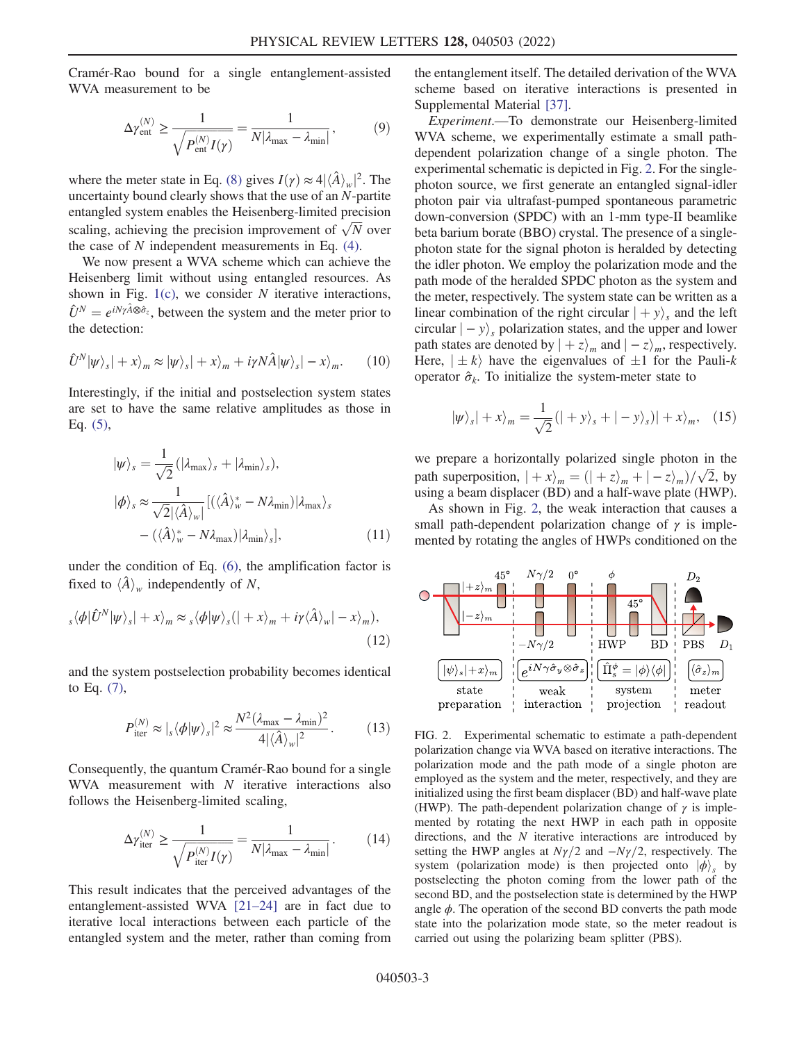Cramér-Rao bound for a single entanglement-assisted WVA measurement to be

$$
\Delta \gamma_{\text{ent}}^{(N)} \ge \frac{1}{\sqrt{P_{\text{ent}}^{(N)} I(\gamma)}} = \frac{1}{N |\lambda_{\text{max}} - \lambda_{\text{min}}|},\tag{9}
$$

where the meter state in Eq. [\(8\)](#page-1-2) gives  $I(\gamma) \approx 4 |\langle \hat{A} \rangle_w|^2$ . The uncertainty bound clearly shows that the use of an N-partite entangled system enables the Heisenberg-limited precision scaling, achieving the precision improvement of  $\sqrt{N}$  over the case of  $N$  independent measurements in Eq.  $(4)$ .

We now present a WVA scheme which can achieve the Heisenberg limit without using entangled resources. As shown in Fig.  $1(c)$ , we consider N iterative interactions,  $\hat{U}^{N} = e^{iN\gamma \hat{A} \otimes \hat{\sigma}_{z}}$ , between the system and the meter prior to the detection:

$$
\hat{U}^{N}|\psi\rangle_{s}|+x\rangle_{m}\approx|\psi\rangle_{s}|+x\rangle_{m}+i\gamma N\hat{A}|\psi\rangle_{s}|-x\rangle_{m}.\qquad(10)
$$

<span id="page-2-1"></span>Interestingly, if the initial and postselection system states are set to have the same relative amplitudes as those in Eq. [\(5\),](#page-1-3)

$$
|\psi\rangle_{s} = \frac{1}{\sqrt{2}} (|\lambda_{\max}\rangle_{s} + |\lambda_{\min}\rangle_{s}),
$$
  
\n
$$
|\phi\rangle_{s} \approx \frac{1}{\sqrt{2}|\langle\hat{A}\rangle_{w}|} [(\langle\hat{A}\rangle_{w}^{*} - N\lambda_{\min})|\lambda_{\max}\rangle_{s}
$$
  
\n
$$
-(\langle\hat{A}\rangle_{w}^{*} - N\lambda_{\max})|\lambda_{\min}\rangle_{s}],
$$
\n(11)

under the condition of Eq. [\(6\)](#page-1-4), the amplification factor is fixed to  $\langle \hat{A} \rangle_w$  independently of N,

$$
s\langle \phi | \hat{U}^{N} | \psi \rangle_{s} | + x \rangle_{m} \approx s \langle \phi | \psi \rangle_{s} (| + x \rangle_{m} + i \gamma \langle \hat{A} \rangle_{w} | - x \rangle_{m}), \tag{12}
$$

and the system postselection probability becomes identical to Eq. [\(7\),](#page-1-5)

$$
P_{\text{iter}}^{(N)} \approx |_{s} \langle \phi | \psi \rangle_{s} |^{2} \approx \frac{N^{2} (\lambda_{\text{max}} - \lambda_{\text{min}})^{2}}{4 | \langle \hat{A} \rangle_{w} |^{2}}.
$$
 (13)

<span id="page-2-2"></span>Consequently, the quantum Cramér-Rao bound for a single WVA measurement with  $N$  iterative interactions also follows the Heisenberg-limited scaling,

$$
\Delta \gamma_{\text{iter}}^{(N)} \ge \frac{1}{\sqrt{P_{\text{iter}}^{(N)} I(\gamma)}} = \frac{1}{N |\lambda_{\text{max}} - \lambda_{\text{min}}|}.
$$
 (14)

This result indicates that the perceived advantages of the entanglement-assisted WVA [\[21](#page-4-17)–[24](#page-4-20)] are in fact due to iterative local interactions between each particle of the entangled system and the meter, rather than coming from the entanglement itself. The detailed derivation of the WVA scheme based on iterative interactions is presented in Supplemental Material [[37](#page-5-4)].

Experiment.—To demonstrate our Heisenberg-limited WVA scheme, we experimentally estimate a small pathdependent polarization change of a single photon. The experimental schematic is depicted in Fig. [2.](#page-2-0) For the singlephoton source, we first generate an entangled signal-idler photon pair via ultrafast-pumped spontaneous parametric down-conversion (SPDC) with an 1-mm type-II beamlike beta barium borate (BBO) crystal. The presence of a singlephoton state for the signal photon is heralded by detecting the idler photon. We employ the polarization mode and the path mode of the heralded SPDC photon as the system and the meter, respectively. The system state can be written as a linear combination of the right circular  $| + y\rangle_s$  and the left circular  $| - y \rangle_s$  polarization states, and the upper and lower path states are denoted by  $|+z\rangle_m$  and  $| - z \rangle_m$ , respectively. Here,  $|\pm k\rangle$  have the eigenvalues of  $\pm 1$  for the Pauli-k operator  $\hat{\sigma}_k$ . To initialize the system-meter state to

$$
|\psi\rangle_s| + x\rangle_m = \frac{1}{\sqrt{2}}(| + y\rangle_s + | - y\rangle_s)| + x\rangle_m, \quad (15)
$$

we prepare a horizontally polarized single photon in the path superposition,  $|+x\rangle_m = (|+z\rangle_m + |-z\rangle_m)/\sqrt{2}$ , by using a beam displacer (BD) and a half-wave plate (HWP).

As shown in Fig. [2](#page-2-0), the weak interaction that causes a small path-dependent polarization change of  $\gamma$  is implemented by rotating the angles of HWPs conditioned on the

<span id="page-2-0"></span>

FIG. 2. Experimental schematic to estimate a path-dependent polarization change via WVA based on iterative interactions. The polarization mode and the path mode of a single photon are employed as the system and the meter, respectively, and they are initialized using the first beam displacer (BD) and half-wave plate (HWP). The path-dependent polarization change of  $\gamma$  is implemented by rotating the next HWP in each path in opposite directions, and the N iterative interactions are introduced by setting the HWP angles at  $N\gamma/2$  and  $-N\gamma/2$ , respectively. The system (polarization mode) is then projected onto  $|\phi\rangle$ , by postselecting the photon coming from the lower path of the second BD, and the postselection state is determined by the HWP angle  $\phi$ . The operation of the second BD converts the path mode state into the polarization mode state, so the meter readout is carried out using the polarizing beam splitter (PBS).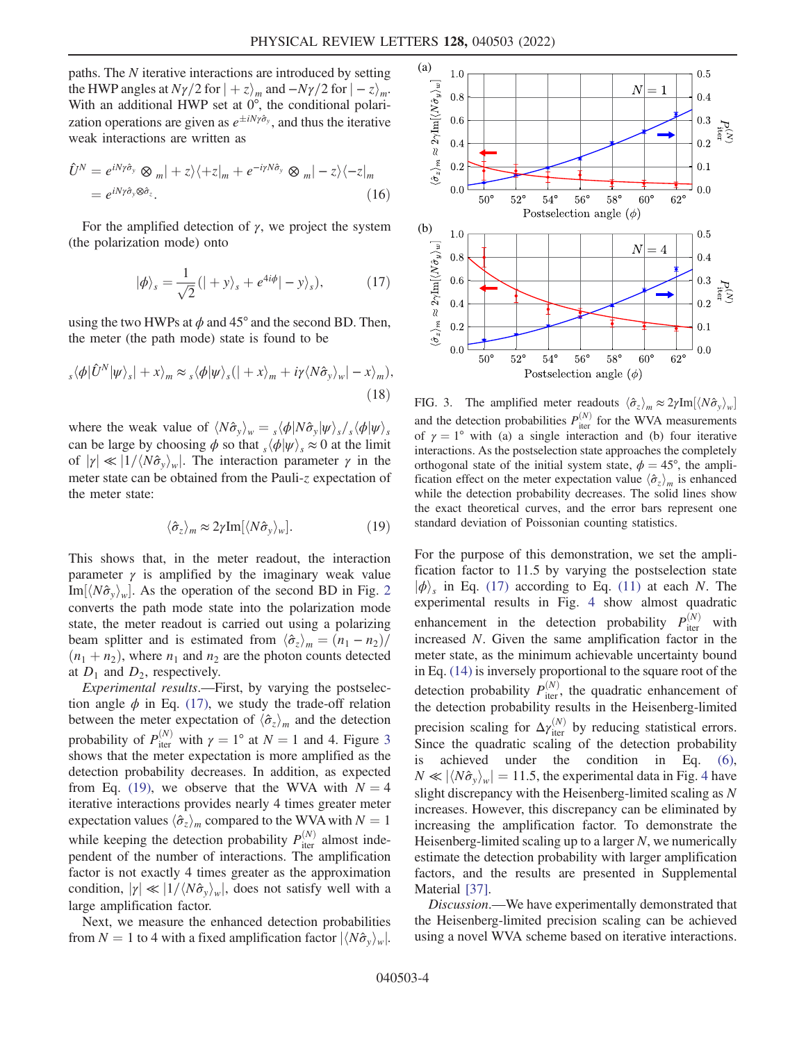paths. The N iterative interactions are introduced by setting the HWP angles at  $N\gamma/2$  for  $|+z\rangle_m$  and  $-N\gamma/2$  for  $|-z\rangle_m$ . With an additional HWP set at  $0^{\circ}$ , the conditional polarization operations are given as  $e^{\pm iN\gamma\hat{\sigma}_y}$ , and thus the iterative weak interactions are written as

$$
\hat{U}^{N} = e^{iN\gamma\hat{\sigma}_{y}} \otimes m| + z\rangle\langle + z|_{m} + e^{-i\gamma N\hat{\sigma}_{y}} \otimes m| - z\rangle\langle - z|_{m}
$$
  
=  $e^{iN\gamma\hat{\sigma}_{y} \otimes \hat{\sigma}_{z}}$ . (16)

<span id="page-3-0"></span>For the amplified detection of  $\gamma$ , we project the system (the polarization mode) onto

$$
|\phi\rangle_s = \frac{1}{\sqrt{2}} (| + y \rangle_s + e^{4i\phi} | - y \rangle_s), \tag{17}
$$

using the two HWPs at  $\phi$  and 45° and the second BD. Then, the meter (the path mode) state is found to be

$$
s\langle \phi | \hat{U}^{N} | \psi \rangle_{s} | + x \rangle_{m} \approx s\langle \phi | \psi \rangle_{s} (| + x \rangle_{m} + i\gamma \langle N \hat{\sigma}_{y} \rangle_{w} | - x \rangle_{m}),
$$
\n(18)

<span id="page-3-2"></span>where the weak value of  $\langle N\hat{\sigma}_y\rangle_w = \frac{\langle \phi|N\hat{\sigma}_y|\psi\rangle_s}{\langle \phi|\psi\rangle_s}$ can be large by choosing  $\phi$  so that  $\sqrt{\phi}|\psi\rangle$ ,  $\approx 0$  at the limit of  $|\gamma| \ll |1/\langle N\hat{\sigma}_{v} \rangle_{w}|$ . The interaction parameter  $\gamma$  in the meter state can be obtained from the Pauli-z expectation of the meter state:

$$
\langle \hat{\sigma}_z \rangle_m \approx 2\gamma \text{Im}[\langle N \hat{\sigma}_y \rangle_w]. \tag{19}
$$

This shows that, in the meter readout, the interaction parameter  $\gamma$  is amplified by the imaginary weak value Im $\langle N\hat{\sigma}_v \rangle_w$ . As the operation of the second BD in Fig. [2](#page-2-0) converts the path mode state into the polarization mode state, the meter readout is carried out using a polarizing beam splitter and is estimated from  $\langle \hat{\sigma}_z \rangle_m = (n_1 - n_2)/$  $(n_1 + n_2)$ , where  $n_1$  and  $n_2$  are the photon counts detected at  $D_1$  and  $D_2$ , respectively.

Experimental results.—First, by varying the postselection angle  $\phi$  in Eq. [\(17\)](#page-3-0), we study the trade-off relation between the meter expectation of  $\langle \hat{\sigma}_z \rangle_m$  and the detection probability of  $P_{\text{iter}}^{(N)}$  with  $\gamma = 1^{\circ}$  at  $N = 1$  and 4. Figure [3](#page-3-1) shows that the meter expectation is more amplified as the detection probability decreases. In addition, as expected from Eq. [\(19\),](#page-3-2) we observe that the WVA with  $N = 4$ iterative interactions provides nearly 4 times greater meter expectation values  $\langle \hat{\sigma}_z \rangle_m$  compared to the WVA with  $N = 1$ while keeping the detection probability  $P_{\text{iter}}^{(N)}$  almost independent of the number of interactions. The amplification factor is not exactly 4 times greater as the approximation condition,  $|\gamma| \ll |1/\langle N\hat{\sigma}_y \rangle_w|$ , does not satisfy well with a large amplification factor.

Next, we measure the enhanced detection probabilities from  $N = 1$  to 4 with a fixed amplification factor  $|\langle N\hat{\sigma}_y \rangle_w|$ .

<span id="page-3-1"></span>

FIG. 3. The amplified meter readouts  $\langle \hat{\sigma}_z \rangle_m \approx 2 \gamma \text{Im} [\langle N \hat{\sigma}_y \rangle_w]$ and the detection probabilities  $P_{\text{iter}}^{(N)}$  for the WVA measurements of  $\gamma = 1^{\circ}$  with (a) a single interaction and (b) four iterative interactions. As the postselection state approaches the completely orthogonal state of the initial system state,  $\phi = 45^{\circ}$ , the amplification effect on the meter expectation value  $\langle \hat{\sigma}_z \rangle_m$  is enhanced while the detection probability decreases. The solid lines show the exact theoretical curves, and the error bars represent one standard deviation of Poissonian counting statistics.

For the purpose of this demonstration, we set the amplification factor to 11.5 by varying the postselection state  $|\phi\rangle$ <sub>s</sub> in Eq. [\(17\)](#page-3-0) according to Eq. [\(11\)](#page-2-1) at each N. The experimental results in Fig. [4](#page-4-26) show almost quadratic enhancement in the detection probability  $P_{\text{iter}}^{(N)}$ with increased N. Given the same amplification factor in the meter state, as the minimum achievable uncertainty bound in Eq. [\(14\)](#page-2-2) is inversely proportional to the square root of the detection probability  $P_{\text{iter}}^{(N)}$ , the quadratic enhancement of the detection probability results in the Heisenberg-limited precision scaling for  $\Delta \gamma_{\text{iter}}^{(N)}$  by reducing statistical errors. Since the quadratic scaling of the detection probability is achieved under the condition in Eq. [\(6\)](#page-1-4),  $N \ll |\langle N \hat{\sigma}_v \rangle_w| = 11.5$ , the experimental data in Fig. [4](#page-4-26) have slight discrepancy with the Heisenberg-limited scaling as N increases. However, this discrepancy can be eliminated by increasing the amplification factor. To demonstrate the Heisenberg-limited scaling up to a larger  $N$ , we numerically estimate the detection probability with larger amplification factors, and the results are presented in Supplemental Material [\[37](#page-5-4)].

Discussion.—We have experimentally demonstrated that the Heisenberg-limited precision scaling can be achieved using a novel WVA scheme based on iterative interactions.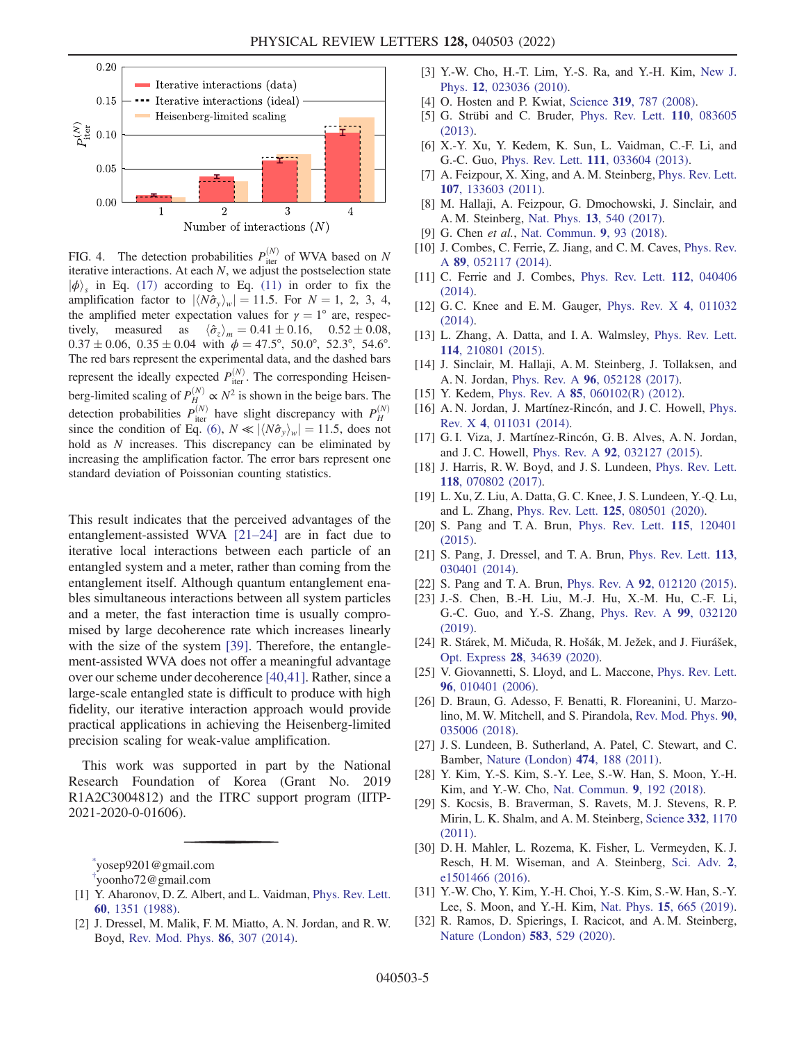<span id="page-4-26"></span>

FIG. 4. The detection probabilities  $P_{\text{iter}}^{(N)}$  of WVA based on N iterative interactions. At each N, we adjust the postselection state  $|\phi\rangle$ , in Eq. [\(17\)](#page-3-0) according to Eq. [\(11\)](#page-2-1) in order to fix the amplification factor to  $|\langle N\hat{\sigma}_y\rangle_w| = 11.5$ . For  $N = 1, 2, 3, 4,$ the amplified meter expectation values for  $\gamma = 1^{\circ}$  are, respectively, measured as  $\pm 0.16, \quad 0.52 \pm 0.08,$  $0.37 \pm 0.06$ ,  $0.35 \pm 0.04$  with  $\phi = 47.5^{\circ}$ ,  $50.0^{\circ}$ ,  $52.3^{\circ}$ ,  $54.6^{\circ}$ . The red bars represent the experimental data, and the dashed bars represent the ideally expected  $P_{\text{iter}}^{(N)}$ . The corresponding Heisenberg-limited scaling of  $P_H^{(N)} \propto N^2$  is shown in the beige bars. The detection probabilities  $P_{\text{iter}}^{(N)}$  have slight discrepancy with  $P_H^{(N)}$ since the condition of Eq. [\(6\)](#page-1-4),  $N \ll |\langle N \hat{\sigma}_v \rangle_w| = 11.5$ , does not hold as N increases. This discrepancy can be eliminated by increasing the amplification factor. The error bars represent one standard deviation of Poissonian counting statistics.

This result indicates that the perceived advantages of the entanglement-assisted WVA [\[21](#page-4-17)–[24](#page-4-20)] are in fact due to iterative local interactions between each particle of an entangled system and a meter, rather than coming from the entanglement itself. Although quantum entanglement enables simultaneous interactions between all system particles and a meter, the fast interaction time is usually compromised by large decoherence rate which increases linearly with the size of the system [[39](#page-5-6)]. Therefore, the entanglement-assisted WVA does not offer a meaningful advantage over our scheme under decoherence [\[40,](#page-5-7)[41\]](#page-5-8). Rather, since a large-scale entangled state is difficult to produce with high fidelity, our iterative interaction approach would provide practical applications in achieving the Heisenberg-limited precision scaling for weak-value amplification.

This work was supported in part by the National Research Foundation of Korea (Grant No. 2019 R1A2C3004812) and the ITRC support program (IITP-2021-2020-0-01606).

<span id="page-4-0"></span>[\\*](#page-0-2) yosep9201@gmail.com

<span id="page-4-1"></span>[†](#page-0-2) yoonho72@gmail.com

- <span id="page-4-2"></span>[1] Y. Aharonov, D. Z. Albert, and L. Vaidman, [Phys. Rev. Lett.](https://doi.org/10.1103/PhysRevLett.60.1351) 60[, 1351 \(1988\)](https://doi.org/10.1103/PhysRevLett.60.1351).
- [2] J. Dressel, M. Malik, F. M. Miatto, A. N. Jordan, and R. W. Boyd, [Rev. Mod. Phys.](https://doi.org/10.1103/RevModPhys.86.307) 86, 307 (2014).
- <span id="page-4-3"></span>[3] Y.-W. Cho, H.-T. Lim, Y.-S. Ra, and Y.-H. Kim, [New J.](https://doi.org/10.1088/1367-2630/12/2/023036) Phys. 12[, 023036 \(2010\)](https://doi.org/10.1088/1367-2630/12/2/023036).
- <span id="page-4-4"></span>[4] O. Hosten and P. Kwiat, Science 319[, 787 \(2008\)](https://doi.org/10.1126/science.1152697).
- <span id="page-4-5"></span>[5] G. Strübi and C. Bruder, [Phys. Rev. Lett.](https://doi.org/10.1103/PhysRevLett.110.083605) 110, 083605 [\(2013\).](https://doi.org/10.1103/PhysRevLett.110.083605)
- <span id="page-4-6"></span>[6] X.-Y. Xu, Y. Kedem, K. Sun, L. Vaidman, C.-F. Li, and G.-C. Guo, Phys. Rev. Lett. 111[, 033604 \(2013\)](https://doi.org/10.1103/PhysRevLett.111.033604).
- <span id="page-4-7"></span>[7] A. Feizpour, X. Xing, and A. M. Steinberg, [Phys. Rev. Lett.](https://doi.org/10.1103/PhysRevLett.107.133603) 107[, 133603 \(2011\).](https://doi.org/10.1103/PhysRevLett.107.133603)
- [8] M. Hallaji, A. Feizpour, G. Dmochowski, J. Sinclair, and A. M. Steinberg, Nat. Phys. 13[, 540 \(2017\)](https://doi.org/10.1038/nphys4040).
- <span id="page-4-8"></span>[9] G. Chen et al., [Nat. Commun.](https://doi.org/10.1038/s41467-017-02487-z) 9, 93 (2018).
- <span id="page-4-9"></span>[10] J. Combes, C. Ferrie, Z. Jiang, and C. M. Caves, [Phys. Rev.](https://doi.org/10.1103/PhysRevA.89.052117) A 89[, 052117 \(2014\)](https://doi.org/10.1103/PhysRevA.89.052117).
- [11] C. Ferrie and J. Combes, [Phys. Rev. Lett.](https://doi.org/10.1103/PhysRevLett.112.040406) **112**, 040406 [\(2014\).](https://doi.org/10.1103/PhysRevLett.112.040406)
- [12] G. C. Knee and E. M. Gauger, [Phys. Rev. X](https://doi.org/10.1103/PhysRevX.4.011032) 4, 011032 [\(2014\).](https://doi.org/10.1103/PhysRevX.4.011032)
- <span id="page-4-10"></span>[13] L. Zhang, A. Datta, and I.A. Walmsley, [Phys. Rev. Lett.](https://doi.org/10.1103/PhysRevLett.114.210801) 114[, 210801 \(2015\).](https://doi.org/10.1103/PhysRevLett.114.210801)
- <span id="page-4-11"></span>[14] J. Sinclair, M. Hallaji, A. M. Steinberg, J. Tollaksen, and A. N. Jordan, Phys. Rev. A 96[, 052128 \(2017\).](https://doi.org/10.1103/PhysRevA.96.052128)
- <span id="page-4-12"></span>[15] Y. Kedem, Phys. Rev. A **85**[, 060102\(R\) \(2012\)](https://doi.org/10.1103/PhysRevA.85.060102).
- [16] A. N. Jordan, J. Martínez-Rincón, and J. C. Howell, [Phys.](https://doi.org/10.1103/PhysRevX.4.011031) Rev. X 4[, 011031 \(2014\).](https://doi.org/10.1103/PhysRevX.4.011031)
- <span id="page-4-13"></span>[17] G. I. Viza, J. Martínez-Rincón, G. B. Alves, A. N. Jordan, and J. C. Howell, Phys. Rev. A 92[, 032127 \(2015\).](https://doi.org/10.1103/PhysRevA.92.032127)
- <span id="page-4-14"></span>[18] J. Harris, R. W. Boyd, and J. S. Lundeen, [Phys. Rev. Lett.](https://doi.org/10.1103/PhysRevLett.118.070802) 118[, 070802 \(2017\).](https://doi.org/10.1103/PhysRevLett.118.070802)
- <span id="page-4-15"></span>[19] L. Xu, Z. Liu, A. Datta, G. C. Knee, J. S. Lundeen, Y.-Q. Lu, and L. Zhang, Phys. Rev. Lett. 125[, 080501 \(2020\)](https://doi.org/10.1103/PhysRevLett.125.080501).
- <span id="page-4-16"></span>[20] S. Pang and T. A. Brun, [Phys. Rev. Lett.](https://doi.org/10.1103/PhysRevLett.115.120401) 115, 120401 [\(2015\).](https://doi.org/10.1103/PhysRevLett.115.120401)
- <span id="page-4-17"></span>[21] S. Pang, J. Dressel, and T. A. Brun, [Phys. Rev. Lett.](https://doi.org/10.1103/PhysRevLett.113.030401) 113, [030401 \(2014\).](https://doi.org/10.1103/PhysRevLett.113.030401)
- <span id="page-4-19"></span><span id="page-4-18"></span>[22] S. Pang and T. A. Brun, Phys. Rev. A 92[, 012120 \(2015\).](https://doi.org/10.1103/PhysRevA.92.012120)
- [23] J.-S. Chen, B.-H. Liu, M.-J. Hu, X.-M. Hu, C.-F. Li, G.-C. Guo, and Y.-S. Zhang, [Phys. Rev. A](https://doi.org/10.1103/PhysRevA.99.032120) 99, 032120 [\(2019\).](https://doi.org/10.1103/PhysRevA.99.032120)
- <span id="page-4-20"></span>[24] R. Stárek, M. Mičuda, R. Hošák, M. Ježek, and J. Fiurášek, Opt. Express 28[, 34639 \(2020\)](https://doi.org/10.1364/OE.403711).
- <span id="page-4-21"></span>[25] V. Giovannetti, S. Lloyd, and L. Maccone, [Phys. Rev. Lett.](https://doi.org/10.1103/PhysRevLett.96.010401) 96[, 010401 \(2006\).](https://doi.org/10.1103/PhysRevLett.96.010401)
- <span id="page-4-22"></span>[26] D. Braun, G. Adesso, F. Benatti, R. Floreanini, U. Marzolino, M. W. Mitchell, and S. Pirandola, [Rev. Mod. Phys.](https://doi.org/10.1103/RevModPhys.90.035006) 90, [035006 \(2018\).](https://doi.org/10.1103/RevModPhys.90.035006)
- <span id="page-4-23"></span>[27] J. S. Lundeen, B. Sutherland, A. Patel, C. Stewart, and C. Bamber, [Nature \(London\)](https://doi.org/10.1038/nature10120) 474, 188 (2011).
- <span id="page-4-24"></span>[28] Y. Kim, Y.-S. Kim, S.-Y. Lee, S.-W. Han, S. Moon, Y.-H. Kim, and Y.-W. Cho, [Nat. Commun.](https://doi.org/10.1038/s41467-017-02511-2) 9, 192 (2018).
- <span id="page-4-25"></span>[29] S. Kocsis, B. Braverman, S. Ravets, M. J. Stevens, R. P. Mirin, L. K. Shalm, and A. M. Steinberg, [Science](https://doi.org/10.1126/science.1202218) 332, 1170 [\(2011\).](https://doi.org/10.1126/science.1202218)
- [30] D. H. Mahler, L. Rozema, K. Fisher, L. Vermeyden, K. J. Resch, H. M. Wiseman, and A. Steinberg, [Sci. Adv.](https://doi.org/10.1126/sciadv.1501466) 2, [e1501466 \(2016\).](https://doi.org/10.1126/sciadv.1501466)
- [31] Y.-W. Cho, Y. Kim, Y.-H. Choi, Y.-S. Kim, S.-W. Han, S.-Y. Lee, S. Moon, and Y.-H. Kim, Nat. Phys. 15[, 665 \(2019\).](https://doi.org/10.1038/s41567-019-0482-z)
- [32] R. Ramos, D. Spierings, I. Racicot, and A. M. Steinberg, [Nature \(London\)](https://doi.org/10.1038/s41586-020-2490-7) 583, 529 (2020).